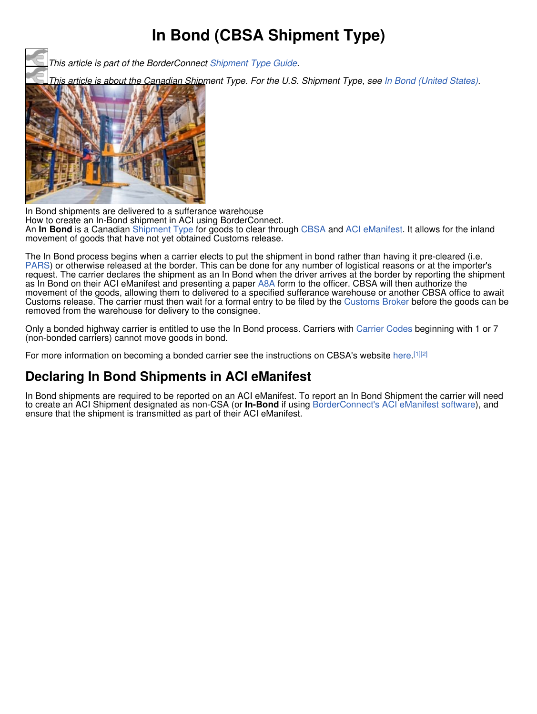## **In Bond (CBSA Shipment Type)**

*This article is part of the BorderConnect Shipment Type Guide.*

*This article is about the Canadian Shipment Type. For the U.S. Shipment Type, see In Bond (United States).*



In Bond shipments are delivered to a sufferance warehouse How to create an In-Bond shipment in ACI using BorderConnect. An **In Bond** is a Canadian Shipment Type for goods to clear through CBSA and ACI eManifest. It allows for the inland movement of goods that have not yet obtained Customs release.

The In Bond process begins when a carrier elects to put the shipment in bond rather than having it pre-cleared (i.e. PARS) or otherwise released at the border. This can be done for any number of logistical reasons or at the importer's request. The carrier declares the shipment as an In Bond when the driver arrives at the border by reporting the shipment as In Bond on their ACI eManifest and presenting a paper A8A form to the officer. CBSA will then authorize the movement of the goods, allowing them to delivered to a specified sufferance warehouse or another CBSA office to await Customs release. The carrier must then wait for a formal entry to be filed by the Customs Broker before the goods can be removed from the warehouse for delivery to the consignee.

Only a bonded highway carrier is entitled to use the In Bond process. Carriers with Carrier Codes beginning with 1 or 7 (non-bonded carriers) cannot move goods in bond.

For more information on becoming a bonded carrier see the instructions on CBSA's website here.<sup>[1][2]</sup>

## **Declaring In Bond Shipments in ACI eManifest**

In Bond shipments are required to be reported on an ACI eManifest. To report an In Bond Shipment the carrier will need to create an ACI Shipment designated as non-CSA (or **In-Bond** if using BorderConnect's ACI eManifest software), and ensure that the shipment is transmitted as part of their ACI eManifest.